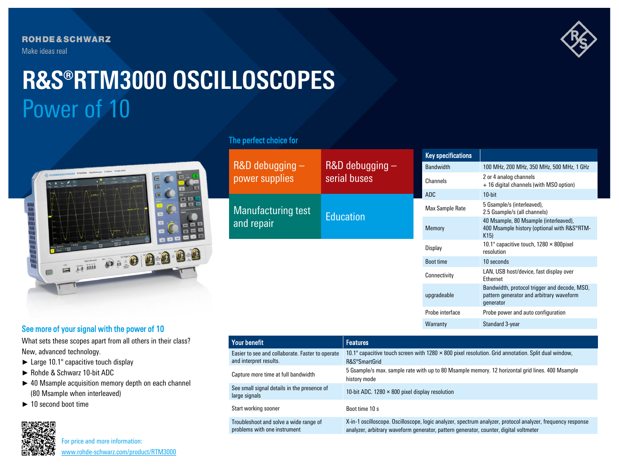**ROHDE&SCHWARZ** Make ideas real



# Power of 10 **R&S®RTM3000 OSCILLOSCOPES**



# The perfect choice for

| R&D debugging -<br>power supplies       | $R&D$ debugging $-$<br>serial buses | <b>Key specifications</b> |                                                                                                       |
|-----------------------------------------|-------------------------------------|---------------------------|-------------------------------------------------------------------------------------------------------|
|                                         |                                     | <b>Bandwidth</b>          | 100 MHz, 200 MHz, 350 MHz, 500 MHz, 1 GHz                                                             |
|                                         |                                     | Channels                  | 2 or 4 analog channels<br>+ 16 digital channels (with MSO option)                                     |
|                                         |                                     | ADC                       | $10$ -bit                                                                                             |
| <b>Manufacturing test</b><br>and repair | <b>Education</b>                    | Max Sample Rate           | 5 Gsample/s (interleaved),<br>2.5 Gsample/s (all channels)                                            |
|                                         |                                     | Memory                    | 40 Msample, 80 Msample (interleaved),<br>400 Msample history (optional with R&S®RTM-<br>K15           |
|                                         |                                     | Display                   | 10.1" capacitive touch, $1280 \times 800$ pixel<br>resolution                                         |
|                                         |                                     | <b>Boot time</b>          | 10 seconds                                                                                            |
|                                         |                                     | Connectivity              | LAN, USB host/device, fast display over<br>Ethernet                                                   |
|                                         |                                     | upgradeable               | Bandwidth, protocol trigger and decode, MSO,<br>pattern generator and arbitrary waveform<br>generator |
|                                         |                                     | Probe interface           | Probe power and auto configuration                                                                    |

Warranty Standard 3-year

# See more of your signal with the power of 10

What sets these scopes apart from all others in their class? New, advanced technology.

- ► Large 10.1" capacitive touch display
- ► Rohde & Schwarz 10-bit ADC
- ► 40 Msample acquisition memory depth on each channel (80 Msample when interleaved)
- ► 10 second boot time



For price and more information: [www.rohde-schwarz.com/product/RTM3000](http://www.rohde-schwarz.com/product/RTM3000?cid=744_com_qr_190_Marcom_20-03_i__Factsheet_printmag_text-ad___Web_)

| Your benefit                                                               | <b>Features</b>                                                                                                                                                                                      |
|----------------------------------------------------------------------------|------------------------------------------------------------------------------------------------------------------------------------------------------------------------------------------------------|
| Easier to see and collaborate. Faster to operate<br>and interpret results. | 10.1" capacitive touch screen with 1280 $\times$ 800 pixel resolution. Grid annotation. Split dual window,<br>R&S®SmartGrid                                                                          |
| Capture more time at full bandwidth                                        | 5 Gsample/s max. sample rate with up to 80 Msample memory. 12 horizontal grid lines. 400 Msample<br>history mode                                                                                     |
| See small signal details in the presence of<br>large signals               | 10-bit ADC. 1280 $\times$ 800 pixel display resolution                                                                                                                                               |
| Start working sooner                                                       | Boot time 10 s                                                                                                                                                                                       |
| Troubleshoot and solve a wide range of<br>problems with one instrument     | X-in-1 oscilloscope. Oscilloscope, logic analyzer, spectrum analyzer, protocol analyzer, frequency response<br>analyzer, arbitrary waveform generator, pattern generator, counter, digital voltmeter |